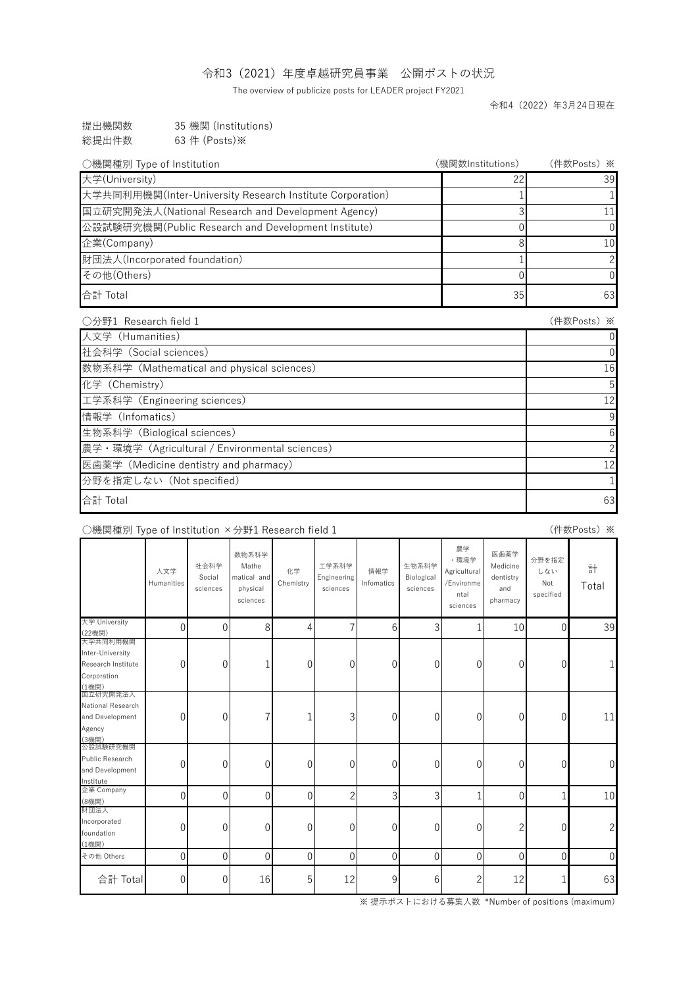| 提出機関数                       | 35 機関 (Institutions)                      |
|-----------------------------|-------------------------------------------|
| - ≪公+曰 ⊤ │ ↑ //∔ * <i>―</i> | $(0.2 \, \mu / \, \Omega_{\text{total}})$ |

総提出件数 63 件 (Posts)※

## ○機関種別 Type of Institution ×分野1 Research field 1

|                                                                            | 人文学<br>Humanities | 社会科学<br>Social<br>sciences | 数物系科学<br>Mathe<br>matical and<br>physical<br>sciences | 化学<br>Chemistry | 工学系科学<br><b>Engineering</b><br>sciences | 情報学<br>Infomatics | 生物系科学<br>Biological<br>sciences | 農学<br>・環境学<br>Agricultural<br>/Environme<br>ntal<br>sciences | 医歯薬学<br>Medicine<br>dentistry<br>and<br>pharmacy | 分野を指定<br>しない<br>Not<br>specified | 計<br>Total |
|----------------------------------------------------------------------------|-------------------|----------------------------|-------------------------------------------------------|-----------------|-----------------------------------------|-------------------|---------------------------------|--------------------------------------------------------------|--------------------------------------------------|----------------------------------|------------|
| 大学 University<br>(22機関)                                                    | 0                 | 0                          | 8                                                     | 4               |                                         | 6                 | 3                               |                                                              | 10                                               | 0                                | 39         |
| 大学共同利用機関<br>Inter-University<br>Research Institute<br>Corporation<br>(1機関) | 0                 | 0                          |                                                       | 0               | $\overline{0}$                          | 0                 | $\overline{0}$                  | 0                                                            | 0                                                | 0                                |            |
| 国立研究開発法人<br>National Research<br>and Development<br>Agency<br>(3機関)        | 0                 | $\overline{0}$             |                                                       |                 | $\mathcal{S}$                           | 0                 | $\theta$                        | 0                                                            | 0                                                | 0                                | 11         |

公設試験研究機関

| ○分野1 Research field 1                            | (件数Posts) ※    |
|--------------------------------------------------|----------------|
| 人文学 (Humanities)                                 | O              |
| 杜会科学 (Social sciences)                           | 0              |
| 数物系科学 (Mathematical and physical sciences)       | 16             |
| 化学 (Chemistry)                                   | 5 <sup>1</sup> |
| 工学系科学 (Engineering sciences)                     | 12             |
| 情報学 (Infomatics)                                 | 9              |
| 生物系科学 (Biological sciences)                      | 6              |
| 農学 · 環境学 (Agricultural / Environmental sciences) | 2              |
| 医歯薬学 (Medicine dentistry and pharmacy)           | 12             |
| 分野を指定しない (Not specified)                         |                |
| 合計 Total                                         | 63             |

| Public Research |   | $\overline{0}$ | 0  | 0 |    | 0 |   | 0 | 0      | $\overline{0}$ | $\overline{0}$ |
|-----------------|---|----------------|----|---|----|---|---|---|--------|----------------|----------------|
| and Development |   |                |    |   |    |   |   |   |        |                |                |
| Institute       |   |                |    |   |    |   |   |   |        |                |                |
| 企業 Company      |   | U              |    |   |    |   | ⌒ |   |        |                | 10             |
| (8機関)           |   |                |    |   |    |   |   |   |        |                |                |
| 財団法人            |   |                |    |   |    |   |   |   |        |                |                |
| Incorporated    |   | $\overline{0}$ | 0  | 0 |    | 0 |   | 0 | $\sim$ | $\overline{0}$ | $2 \mid$       |
| foundation      |   |                |    |   |    |   |   |   |        |                |                |
| (1機関)           |   |                |    |   |    |   |   |   |        |                |                |
| その他 Others      |   |                |    |   |    |   |   |   |        | ( ) I          | $\overline{0}$ |
| 合計 Total        | O | $\overline{0}$ | 16 | 5 | 12 | 9 | 6 | ⌒ | 12     |                | 63             |

| ○機関種別 Type of Institution                                 | (機関数Institutions) | (件数Posts)※     |
|-----------------------------------------------------------|-------------------|----------------|
| 大学(University)                                            |                   | 39             |
| 大学共同利用機関(Inter-University Research Institute Corporation) |                   |                |
| 国立研究開発法人(National Research and Development Agency)        |                   |                |
| 公設試験研究機関(Public Research and Development Institute)       |                   | $\Omega$       |
| 企業(Company)                                               |                   | 10             |
| 財団法人(Incorporated foundation)                             |                   | $\overline{2}$ |
| その他(Others)                                               |                   | $\Omega$       |
| 合計 Total                                                  | 35                | 63             |

※ 提示ポストにおける募集人数 \*Number of positions (maximum)

(件数Posts)※

## 令和3(2021)年度卓越研究員事業 公開ポストの状況

The overview of publicize posts for LEADER project FY2021

令和4(2022)年3月24日現在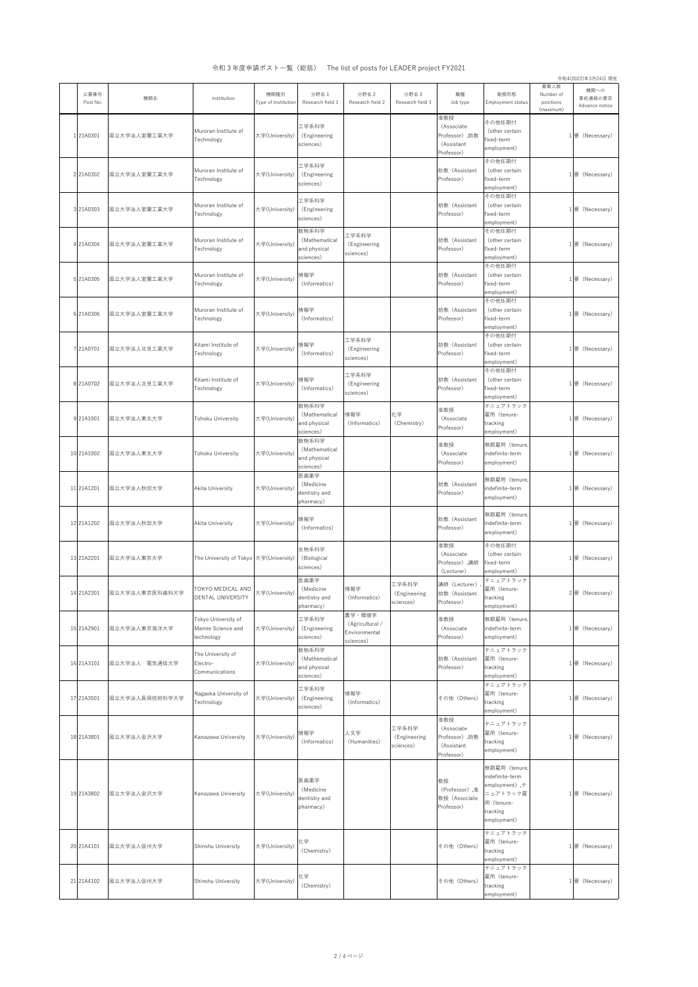2 / 4 ページ

令和4(2022)年3月24日 現在

| 公募番号<br>Post No. | 機関名            | Institution                                             | 機関種別<br>Type of Institution | 分野名1<br>Research field 1                            | 分野名 2<br>Research field 2                               | 分野名3<br>Research field 3           | 職種<br>Job type                                                  | 勤務形態<br>Employment status                                                                                          | 募集人数<br>Number of<br>positions<br>(maximum) | 機関への<br>事前連絡の要否<br>Advance notice |
|------------------|----------------|---------------------------------------------------------|-----------------------------|-----------------------------------------------------|---------------------------------------------------------|------------------------------------|-----------------------------------------------------------------|--------------------------------------------------------------------------------------------------------------------|---------------------------------------------|-----------------------------------|
| 121A0301         | 国立大学法人室蘭工業大学   | Muroran Institute of<br>Technology                      | 大学(University)              | 工学系科学<br>(Engineering<br>sciences)                  |                                                         |                                    | 准教授<br>(Associate<br>Professor) ,助教<br>(Assistant<br>Professor) | その他任期付<br>(other certain<br>fixed-term<br>employment)                                                              |                                             | 1要 (Necessary)                    |
| 2 21A0302        | 国立大学法人室蘭工業大学   | Muroran Institute of<br>Technology                      | 大学(University)              | 工学系科学<br>(Engineering<br>sciences)                  |                                                         |                                    | 助教 (Assistant<br>Professor)                                     | その他任期付<br>(other certain<br>fixed-term<br>employment)                                                              |                                             | 1要 (Necessary)                    |
| 3 21A0303        | 国立大学法人室蘭工業大学   | Muroran Institute of<br>Technology                      | 大学(University)              | 工学系科学<br>(Engineering<br>sciences)                  |                                                         |                                    | 助教 (Assistant<br>Professor)                                     | その他任期付<br>(other certain<br>fixed-term<br>employment)                                                              |                                             | !要 (Necessary)                    |
| 4 21A0304        | 国立大学法人室蘭工業大学   | Muroran Institute of<br>Technology                      | 大学(University)              | 数物系科学<br>(Mathematical<br>and physical<br>sciences) | 工学系科学<br>(Engineering<br>sciences)                      |                                    | 助教 (Assistant<br>Professor)                                     | その他任期付<br>(other certain<br>fixed-term<br>employment)                                                              |                                             | 要 (Necessary)                     |
| 5 21A0305        | 国立大学法人室蘭工業大学   | Muroran Institute of<br>Technology                      | 大学(University)              | 情報学<br>(Informatics)                                |                                                         |                                    | 助教 (Assistant<br>Professor)                                     | その他任期付<br>(other certain<br>fixed-term<br>employment)                                                              |                                             | 1 要(Necessary)                    |
| 6 21A0306        | 国立大学法人室蘭工業大学   | Muroran Institute of<br>Technology                      | 大学(University)              | 情報学<br>(Informatics)                                |                                                         |                                    | 助教 (Assistant<br>Professor)                                     | その他任期付<br>(other certain<br>fixed-term<br>employment)                                                              |                                             | 1要 (Necessary)                    |
| 7 21A0701        | 国立大学法人北見工業大学   | Kitami Institute of<br>Technology                       | 大学(University)              | 情報学<br>(Informatics)                                | 工学系科学<br>(Engineering<br>sciences)                      |                                    | 助教 (Assistant<br>Professor)                                     | その他任期付<br>(other certain<br>fixed-term<br>employment)                                                              |                                             | 1要 (Necessary)                    |
| 8 21A0702        | 国立大学法人北見工業大学   | Kitami Institute of<br>Technology                       | 大学(University)              | 情報学<br>(Informatics)                                | 工学系科学<br>(Engineering<br>sciences)                      |                                    | 助教 (Assistant<br>Professor)                                     | その他任期付<br>(other certain<br>fixed-term<br>employment)                                                              |                                             | 1要 (Necessary)                    |
| 9 21A1001        | 国立大学法人東北大学     | <b>Tohoku University</b>                                | 大学(University)              | 数物系科学<br>(Mathematical<br>and physical<br>sciences) | 情報学<br>(Informatics)                                    | 化学<br>(Chemistry)                  | 准教授<br>(Associate<br>Professor)                                 | テニュアトラック<br>雇用 (tenure-<br>tracking<br>employment)                                                                 |                                             | 要 (Necessary)                     |
| 10 21A1002       | 国立大学法人東北大学     | Tohoku University                                       | 大学(University)              | 数物系科学<br>(Mathematical<br>and physical<br>sciences) |                                                         |                                    | 准教授<br>(Associate<br>Professor)                                 | 無期雇用 (tenure,<br>indefinite-term<br>employment)                                                                    |                                             | 1要 (Necessary)                    |
| 11 21A1201       | 国立大学法人秋田大学     | <b>Akita University</b>                                 | 大学(University)              | 医歯薬学<br>(Medicine<br>dentistry and<br>pharmacy)     |                                                         |                                    | 助教 (Assistant<br>Professor)                                     | 無期雇用 (tenure,<br>indefinite-term<br>employment)                                                                    |                                             | 1要 (Necessary)                    |
| 12 21A1202       | 国立大学法人秋田大学     | <b>Akita University</b>                                 | 大学(University)              | 情報学<br>(Informatics)                                |                                                         |                                    | 助教 (Assistant<br>Professor)                                     | 無期雇用 (tenure,<br>indefinite-term<br>employment)                                                                    |                                             | 1要 (Necessary)                    |
| 13 21A2201       | 国立大学法人東京大学     | The University of Tokyo  大学(University)                 |                             | 生物系科学<br>(Biological<br>sciences)                   |                                                         |                                    | 准教授<br>(Associate<br>Professor), 講師<br>(Lecturer)               | その他任期付<br>(other certain<br>fixed-term<br>employment)                                                              |                                             | 要 (Necessary)                     |
| 14 21A2301       | 国立大学法人東京医科歯科大学 | TOKYO MEDICAL AND<br><b>DENTAL UNIVERSITY</b>           | 大学(University)              | 医歯薬学<br>(Medicine<br>dentistry and<br>pharmacy)     | 情報学<br>(Informatics)                                    | 工学系科学<br>(Engineering<br>sciences) | 講師 (Lecturer)<br>助教 (Assistant<br>Professor)                    | テニュアトラック<br>雇用 (tenure-<br>tracking<br>employment)                                                                 |                                             | $2$ 要 (Necessary)                 |
| 15 21A2901       | 国立大学法人東京海洋大学   | Tokyo University of<br>Marine Science and<br>technology | 大学(University)              | 工学系科学<br>(Engineering<br>sciences)                  | 農学・環境学<br>(Agricultural /<br>Environmental<br>sciences) |                                    | 准教授<br>(Associate<br>Professor)                                 | 無期雇用 (tenure,<br>indefinite-term<br>employment)                                                                    |                                             | 1要 (Necessary)                    |
| 16 21A3101       | 国立大学法人 電気通信大学  | The University of<br>Electro-<br>Communications         | 大学(University)              | 数物系科学<br>(Mathematical<br>and physical<br>sciences) |                                                         |                                    | 助教 (Assistant<br>Professor)                                     | テニュアトラック<br>雇用 (tenure-<br>tracking<br>employment)                                                                 |                                             | 1要 (Necessary)                    |
| 17 21A3501       | 国立大学法人長岡技術科学大学 | Nagaoka University of<br>Technology                     | 大学(University)              | 工学系科学<br>(Engineering<br>sciences)                  | 情報学<br>(Informatics)                                    |                                    | その他 (Others)                                                    | テニュアトラック<br>雇用 (tenure-<br>tracking<br>employment)                                                                 |                                             | 1要 (Necessary)                    |
| 18 21A3801       | 国立大学法人金沢大学     | Kanazawa University                                     | 大学(University)              | 情報学<br>(Informatics)                                | 人文学<br>(Humanities)                                     | 工学系科学<br>(Engineering<br>sciences) | 准教授<br>(Associate<br>Professor), 助教<br>(Assistant<br>Professor) | テニュアトラック<br>雇用 (tenure-<br>tracking<br>employment)                                                                 |                                             | 1要 (Necessary)                    |
| 19 21A3802       | 国立大学法人金沢大学     | Kanazawa University                                     | 大学(University)              | 医歯薬学<br>(Medicine<br>dentistry and<br>pharmacy)     |                                                         |                                    | 教授<br>(Professor) ,准<br>教授(Associate<br>Professor)              | 無期雇用 (tenure,<br>indefinite-term<br>employment), $\bar{\tau}$<br>ニュアトラック雇<br>用 (tenure-<br>tracking<br>employment) |                                             | 1要 (Necessary)                    |
| 20 21A4101       | 国立大学法人信州大学     | Shinshu University                                      | 大学(University)              | 化学<br>(Chemistry)                                   |                                                         |                                    | その他 (Others)                                                    | テニュアトラック<br>雇用 (tenure-<br>tracking<br>employment)                                                                 |                                             | 1要 (Necessary)                    |
| 21 21 A 4 1 0 2  | 国立大学法人信州大学     | Shinshu University                                      | 大学(University)              | 化学<br>(Chemistry)                                   |                                                         |                                    | その他 (Others)                                                    | テニュアトラック<br>雇用 (tenure-<br>tracking<br>employment)                                                                 |                                             | 1要 (Necessary)                    |

令和3年度申請ポスト一覧(総括) The list of posts for LEADER project FY2021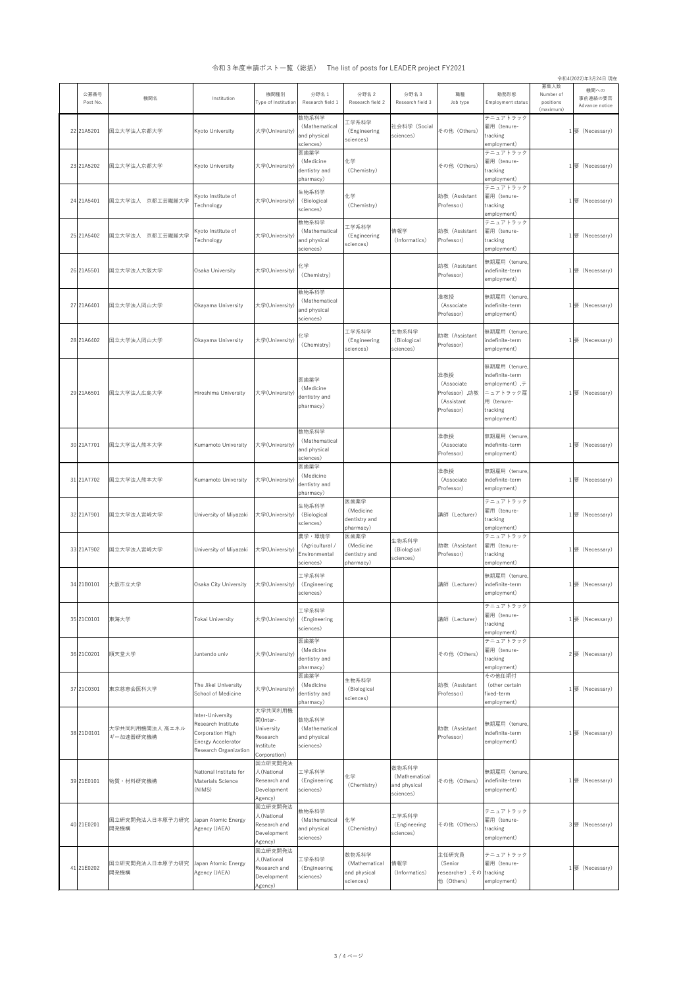3 / 4 ページ

令和4(2022)年3月24日 現在

令和3年度申請ポスト一覧(総括) The list of posts for LEADER project FY2021

| 公募番号<br>Post No. | 機関名                                  | Institution                                                                                               | 機関種別<br>Type of Institution                                                | 分野名1<br>Research field 1                                | 分野名 2<br>Research field 2                       | 分野名3<br>Research field 3                            | 職種<br>Job type                                                  | 勤務形態<br>Employment status                                                                                          | 募集人数<br>Number of<br>positions | 機関への<br>事前連絡の要否<br>Advance notice |
|------------------|--------------------------------------|-----------------------------------------------------------------------------------------------------------|----------------------------------------------------------------------------|---------------------------------------------------------|-------------------------------------------------|-----------------------------------------------------|-----------------------------------------------------------------|--------------------------------------------------------------------------------------------------------------------|--------------------------------|-----------------------------------|
| 22 21A5201       | 国立大学法人京都大学                           | <b>Kyoto University</b>                                                                                   | 大学(University)                                                             | 数物系科学<br>(Mathematical<br>and physical<br>sciences)     | 工学系科学<br>(Engineering<br>sciences)              | 社会科学 (Social<br>sciences)                           | その他 (Others)                                                    | テニュアトラック<br>雇用 (tenure-<br>tracking<br>employment)                                                                 | (maximum)                      | 要 (Necessary)                     |
| 23 21A5202       | 国立大学法人京都大学                           | <b>Kyoto University</b>                                                                                   | 大学(University)                                                             | 医歯薬学<br>(Medicine<br>dentistry and<br>pharmacy)         | 化学<br>(Chemistry)                               |                                                     | その他 (Others)                                                    | テニュアトラック<br>雇用 (tenure-<br>tracking<br>employment)                                                                 |                                | 要 (Necessary)                     |
| 24 21A5401       | 国立大学法人 京都工芸繊維大学                      | Kyoto Institute of<br>Technology                                                                          | 大学(University)                                                             | 生物系科学<br>(Biological<br>sciences)                       | 化学<br>(Chemistry)                               |                                                     | 助教 (Assistant<br>Professor)                                     | テニュアトラック<br>雇用 (tenure-<br>tracking<br>employment)                                                                 |                                | 要 (Necessary)                     |
| 25 21A5402       | 国立大学法人 京都工芸繊維大学                      | Kyoto Institute of<br>Technology                                                                          | 大学(University)                                                             | 数物系科学<br>(Mathematical<br>and physical<br>sciences)     | 工学系科学<br>(Engineering<br>sciences)              | 情報学<br>(Informatics)                                | 助教 (Assistant<br>Professor)                                     | テニュアトラック<br>雇用 (tenure-<br>tracking<br>employment)                                                                 |                                | 要 (Necessary)                     |
| 26 21A5501       | 国立大学法人大阪大学                           | Osaka University                                                                                          | 大学(University)                                                             | 化学<br>(Chemistry)                                       |                                                 |                                                     | 助教 (Assistant<br>Professor)                                     | 無期雇用 (tenure,<br>indefinite-term<br>employment)                                                                    |                                | 要 (Necessary)                     |
| 27 21A6401       | 国立大学法人岡山大学                           | Okayama University                                                                                        | 大学(University)                                                             | 数物系科学<br>(Mathematical<br>and physical<br>sciences)     |                                                 |                                                     | 准教授<br>(Associate)<br>Professor)                                | 無期雇用 (tenure,<br>indefinite-term<br>employment)                                                                    |                                | $1$ 要 (Necessary)                 |
| 28 21A6402       | 国立大学法人岡山大学                           | Okayama University                                                                                        | 大学(University)                                                             | 化学<br>(Chemistry)                                       | 工学系科学<br>(Engineering<br>sciences)              | 生物系科学<br>(Biological<br>sciences)                   | 助教 (Assistant<br>Professor)                                     | 無期雇用 (tenure,<br>indefinite-term<br>employment)                                                                    |                                | 要 (Necessary)                     |
| 29 21A6501       | 国立大学法人広島大学                           | Hiroshima University                                                                                      | 大学(University)                                                             | 医歯薬学<br>(Medicine<br>dentistry and<br>pharmacy)         |                                                 |                                                     | 准教授<br>(Associate<br>Professor), 助教<br>(Assistant<br>Professor) | 無期雇用 (tenure,<br>indefinite-term<br>employment), $\bar{\tau}$<br>ニュアトラック雇<br>用 (tenure-<br>tracking<br>employment) |                                | 要 (Necessary)                     |
| 30 21A7701       | 国立大学法人熊本大学                           | <b>Kumamoto University</b>                                                                                | 大学(University)                                                             | 数物系科学<br>(Mathematical<br>and physical<br>sciences)     |                                                 |                                                     | 准教授<br>(Associate<br>Professor)                                 | 無期雇用 (tenure,<br>indefinite-term<br>employment)                                                                    |                                | 要 (Necessary)                     |
| 31 21A7702       | 国立大学法人熊本大学                           | <b>Kumamoto University</b>                                                                                | 大学(University)                                                             | 医歯薬学<br>(Medicine<br>dentistry and<br>pharmacy)         |                                                 |                                                     | 准教授<br>(Associate<br>Professor)                                 | 無期雇用 (tenure,<br>indefinite-term<br>employment)                                                                    |                                | 要 (Necessary)                     |
|                  | 32 21A7901   国立大学法人宮崎大学              | University of Miyazaki  大学(University)   (Biological                                                      |                                                                            | 生物系科学<br>sciences)                                      | 医歯薬学<br>(Medicine<br>dentistry and<br>pharmacy) |                                                     | 講師 (Lecturer)                                                   | テニュアトラック<br>雇用 (tenure-<br>tracking<br>employment)                                                                 |                                | $1$ 要 (Necessary)                 |
| 33 21A7902       | 国立大学法人宮崎大学                           | University of Miyazaki                                                                                    | 大学(University)                                                             | 農学・環境学<br>(Agricultural /<br>Environmental<br>sciences) | 医歯薬学<br>(Medicine<br>dentistry and<br>pharmacy) | 生物系科学<br>(Biological<br>sciences)                   | 助教 (Assistant<br>Professor)                                     | テニュアトラック<br>雇用 (tenure-<br>tracking<br>employment)                                                                 |                                | 要 (Necessary)                     |
| 34 21B0101       | 大阪市立大学                               | Osaka City University                                                                                     | 大学(University)                                                             | 工学系科学<br>(Engineering<br>sciences)                      |                                                 |                                                     | 講師 (Lecturer)                                                   | 無期雇用 (tenure,<br>indefinite-term<br>employment)                                                                    |                                | 要 (Necessary)                     |
| 35 21C0101       | 東海大学                                 | <b>Tokai University</b>                                                                                   | 大学(University)                                                             | 工学系科学<br>(Engineering<br>sciences)                      |                                                 |                                                     | 講師(Lecturer)                                                    | テニュアトラック<br>雇用 (tenure-<br>tracking<br>employment)                                                                 |                                | 要 (Necessary)                     |
| 36 21C0201       | 順天堂大学                                | Juntendo univ                                                                                             | 大学(University)                                                             | 医歯薬学<br>(Medicine<br>dentistry and<br>pharmacy)         |                                                 |                                                     | その他 (Others)                                                    | テニュアトラック<br>雇用 (tenure-<br>tracking<br>employment)                                                                 |                                | 2要 (Necessary)                    |
| 37 21C0301       | 東京慈恵会医科大学                            | The Jikei University<br>School of Medicine                                                                | 大学(University)                                                             | 医歯薬学<br>(Medicine<br>dentistry and<br>pharmacy)         | 生物系科学<br>(Biological<br>sciences)               |                                                     | 助教 (Assistant<br>Professor)                                     | その他任期付<br>(other certain<br>fixed-term<br>employment)                                                              |                                | 要 (Necessary)                     |
| 38 21D0101       | 大学共同利用機関法人 高エネル<br>ギー加速器研究機構         | Inter-University<br>Research Institute<br>Corporation High<br>Energy Accelerator<br>Research Organization | 大学共同利用機<br>関(Inter-<br>University<br>Research<br>Institute<br>Corporation) | 数物系科学<br>(Mathematical<br>and physical<br>sciences)     |                                                 |                                                     | 助教 (Assistant<br>Professor)                                     | 無期雇用 (tenure,<br>indefinite-term<br>employment)                                                                    |                                | $1$ 要 (Necessary)                 |
| 39 21E0101       | 物質·材料研究機構                            | National Institute for<br><b>Materials Science</b><br>(NIMS)                                              | 国立研究開発法<br>人(National<br>Research and<br>Development<br>Agency)            | 工学系科学<br>(Engineering<br>sciences)                      | 化学<br>(Chemistry)                               | 数物系科学<br>(Mathematical<br>and physical<br>sciences) | その他 (Others)                                                    | 無期雇用 (tenure,<br>indefinite-term<br>employment)                                                                    |                                | 要 (Necessary)                     |
| 40 21E0201       | 国立研究開発法人日本原子力研究<br>開発機構              | Japan Atomic Energy<br>Agency (JAEA)                                                                      | 国立研究開発法<br>人(National<br>Research and<br>Development<br>Agency)            | 数物系科学<br>(Mathematical<br>and physical<br>sciences)     | 化学<br>(Chemistry)                               | 工学系科学<br>(Engineering<br>sciences)                  | その他 (Others)                                                    | テニュアトラック<br>雇用 (tenure-<br>tracking<br>employment)                                                                 |                                | 3 要 (Necessary)                   |
|                  | 国立研究開発法人日本原子力研究 Ilanan Atomic Energy |                                                                                                           | 国立研究開発法<br>人(National                                                      | 工学系科学                                                   | 数物系科学<br>(Mathematical 情報学                      |                                                     | 主任研究員<br>(Senior)                                               | テニュアトラック<br>雇用 (tenure-                                                                                            |                                |                                   |

| 41 21E0202 | 国立研究開発法人日本原子力研究 Japan Atomic Energy |               | Research and | .            | (Mathematical  情報学 |               | (Senior                 | 雇用(tenure-  | 1要          |
|------------|-------------------------------------|---------------|--------------|--------------|--------------------|---------------|-------------------------|-------------|-------------|
|            | ♬発機構                                | Agency (JAEA) |              | (Engineering | and physical       | (Informatics) | researcher) その tracking |             | (Necessary) |
|            |                                     |               | Development  | sciences)    | sciences)          |               | (Others)                | employment) |             |
|            |                                     |               | Agency,      |              |                    |               |                         |             |             |